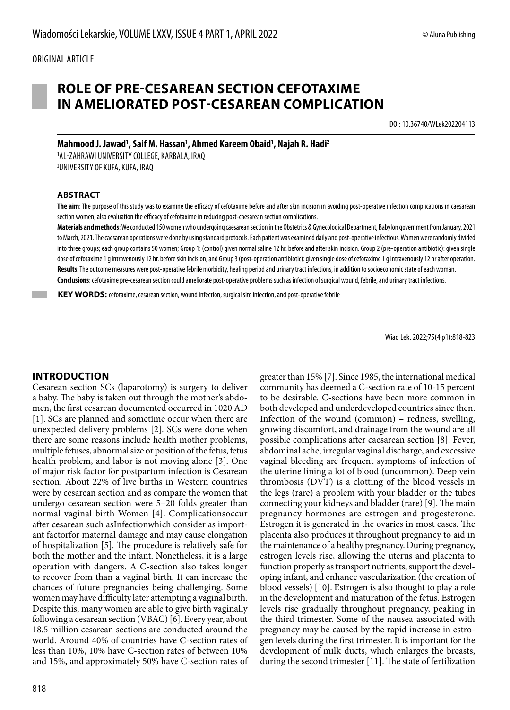# **ROLE OF PRE-CESAREAN SECTION CEFOTAXIME IN AMELIORATED POST-CESAREAN COMPLICATION**

DOI: 10.36740/WLek202204113

**Mahmood J. Jawad1 , Saif M. Hassan1 , Ahmed Kareem Obaid1 , Najah R. Hadi2** 1 AL-ZAHRAWI UNIVERSITY COLLEGE, KARBALA, IRAQ

2 UNIVERSITY OF KUFA, KUFA, IRAQ

#### **ABSTRACT**

**The aim**: The purpose of this study was to examine the efficacy of cefotaxime before and after skin incision in avoiding post-operative infection complications in caesarean section women, also evaluation the efficacy of cefotaxime in reducing post-caesarean section complications.

**Materials and methods**: We conducted 150 women who undergoing caesarean section in the Obstetrics & Gynecological Department, Babylon government from January, 2021 to March, 2021. The caesarean operations were done by using standard protocols. Each patient was examined daily and post-operative infectious. Women were randomly divided into three groups; each group contains 50 women; Group 1: (control) given normal saline 12 hr. before and after skin incision. Group 2 (pre-operation antibiotic): given single dose of cefotaxime 1 g intravenously 12 hr. before skin incision, and Group 3 (post-operation antibiotic): given single dose of cefotaxime 1 g intravenously 12 hr after operation. **Results**: The outcome measures were post-operative febrile morbidity, healing period and urinary tract infections, in addition to socioeconomic state of each woman. **Conclusions**: cefotaxime pre-cesarean section could ameliorate post-operative problems such as infection of surgical wound, febrile, and urinary tract infections.

**KEY WORDS:** cefotaxime, cesarean section, wound infection, surgical site infection, and post-operative febrile

Wiad Lek. 2022;75(4 p1):818-823

#### **INTRODUCTION**

Cesarean section SCs (laparotomy) is surgery to deliver a baby. The baby is taken out through the mother's abdomen, the first cesarean documented occurred in 1020 AD [1]. SCs are planned and sometime occur when there are unexpected delivery problems [2]. SCs were done when there are some reasons include health mother problems, multiple fetuses, abnormal size or position of the fetus, fetus health problem, and labor is not moving alone [3]. One of major risk factor for postpartum infection is Cesarean section. About 22% of live births in Western countries were by cesarean section and as compare the women that undergo cesarean section were 5–20 folds greater than normal vaginal birth Women [4]. Complicationsoccur after cesarean such asInfectionwhich consider as important factorfor maternal damage and may cause elongation of hospitalization [5]. The procedure is relatively safe for both the mother and the infant. Nonetheless, it is a large operation with dangers. A C-section also takes longer to recover from than a vaginal birth. It can increase the chances of future pregnancies being challenging. Some women may have difficulty later attempting a vaginal birth. Despite this, many women are able to give birth vaginally following a cesarean section (VBAC) [6]. Every year, about 18.5 million cesarean sections are conducted around the world. Around 40% of countries have C-section rates of less than 10%, 10% have C-section rates of between 10% and 15%, and approximately 50% have C-section rates of

greater than 15% [7]. Since 1985, the international medical community has deemed a C-section rate of 10-15 percent to be desirable. C-sections have been more common in both developed and underdeveloped countries since then. Infection of the wound (common) – redness, swelling, growing discomfort, and drainage from the wound are all possible complications after caesarean section [8]. Fever, abdominal ache, irregular vaginal discharge, and excessive vaginal bleeding are frequent symptoms of infection of the uterine lining a lot of blood (uncommon). Deep vein thrombosis (DVT) is a clotting of the blood vessels in the legs (rare) a problem with your bladder or the tubes connecting your kidneys and bladder (rare) [9]. The main pregnancy hormones are estrogen and progesterone. Estrogen it is generated in the ovaries in most cases. The placenta also produces it throughout pregnancy to aid in the maintenance of a healthy pregnancy. During pregnancy, estrogen levels rise, allowing the uterus and placenta to function properly as transport nutrients, support the developing infant, and enhance vascularization (the creation of blood vessels) [10]. Estrogen is also thought to play a role in the development and maturation of the fetus. Estrogen levels rise gradually throughout pregnancy, peaking in the third trimester. Some of the nausea associated with pregnancy may be caused by the rapid increase in estrogen levels during the first trimester. It is important for the development of milk ducts, which enlarges the breasts, during the second trimester [11]. The state of fertilization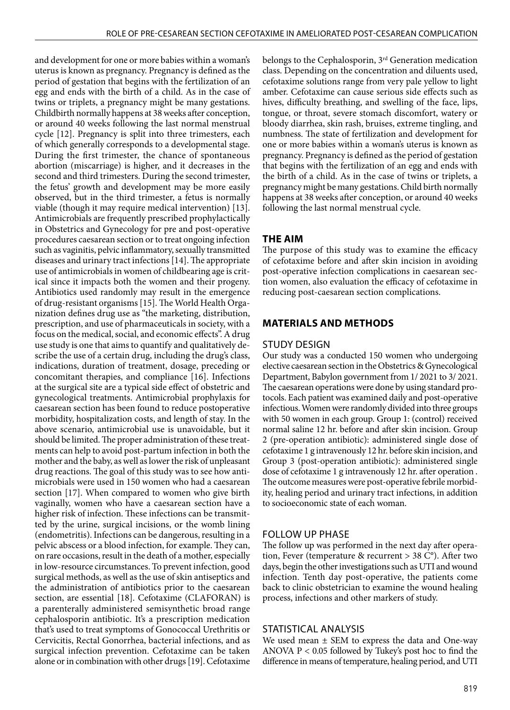and development for one or more babies within a woman's uterus is known as pregnancy. Pregnancy is defined as the period of gestation that begins with the fertilization of an egg and ends with the birth of a child. As in the case of twins or triplets, a pregnancy might be many gestations. Childbirth normally happens at 38 weeks after conception, or around 40 weeks following the last normal menstrual cycle [12]. Pregnancy is split into three trimesters, each of which generally corresponds to a developmental stage. During the first trimester, the chance of spontaneous abortion (miscarriage) is higher, and it decreases in the second and third trimesters. During the second trimester, the fetus' growth and development may be more easily observed, but in the third trimester, a fetus is normally viable (though it may require medical intervention) [13]. Antimicrobials are frequently prescribed prophylactically in Obstetrics and Gynecology for pre and post-operative procedures caesarean section or to treat ongoing infection such as vaginitis, pelvic inflammatory, sexually transmitted diseases and urinary tract infections [14]. The appropriate use of antimicrobials in women of childbearing age is critical since it impacts both the women and their progeny. Antibiotics used randomly may result in the emergence of drug-resistant organisms [15]. The World Health Organization defines drug use as "the marketing, distribution, prescription, and use of pharmaceuticals in society, with a focus on the medical, social, and economic effects". A drug use study is one that aims to quantify and qualitatively describe the use of a certain drug, including the drug's class, indications, duration of treatment, dosage, preceding or concomitant therapies, and compliance [16]. Infections at the surgical site are a typical side effect of obstetric and gynecological treatments. Antimicrobial prophylaxis for caesarean section has been found to reduce postoperative morbidity, hospitalization costs, and length of stay. In the above scenario, antimicrobial use is unavoidable, but it should be limited. The proper administration of these treatments can help to avoid post-partum infection in both the mother and the baby, as well as lower the risk of unpleasant drug reactions. The goal of this study was to see how antimicrobials were used in 150 women who had a caesarean section [17]. When compared to women who give birth vaginally, women who have a caesarean section have a higher risk of infection. These infections can be transmitted by the urine, surgical incisions, or the womb lining (endometritis). Infections can be dangerous, resulting in a pelvic abscess or a blood infection, for example. They can, on rare occasions, result in the death of a mother, especially in low-resource circumstances. To prevent infection, good surgical methods, as well as the use of skin antiseptics and the administration of antibiotics prior to the caesarean section, are essential [18]. Cefotaxime (CLAFORAN) is a parenterally administered semisynthetic broad range cephalosporin antibiotic. It's a prescription medication that's used to treat symptoms of Gonococcal Urethritis or Cervicitis, Rectal Gonorrhea, bacterial infections, and as surgical infection prevention. Cefotaxime can be taken alone or in combination with other drugs [19]. Cefotaxime belongs to the Cephalosporin, 3<sup>rd</sup> Generation medication class. Depending on the concentration and diluents used, cefotaxime solutions range from very pale yellow to light amber. Cefotaxime can cause serious side effects such as hives, difficulty breathing, and swelling of the face, lips, tongue, or throat, severe stomach discomfort, watery or bloody diarrhea, skin rash, bruises, extreme tingling, and numbness. The state of fertilization and development for one or more babies within a woman's uterus is known as pregnancy. Pregnancy is defined as the period of gestation that begins with the fertilization of an egg and ends with the birth of a child. As in the case of twins or triplets, a pregnancy might be many gestations. Child birth normally happens at 38 weeks after conception, or around 40 weeks following the last normal menstrual cycle.

### **THE AIM**

The purpose of this study was to examine the efficacy of cefotaxime before and after skin incision in avoiding post-operative infection complications in caesarean section women, also evaluation the efficacy of cefotaxime in reducing post-caesarean section complications.

## **MATERIALS AND METHODS**

#### STUDY DESIGN

Our study was a conducted 150 women who undergoing elective caesarean section in the Obstetrics & Gynecological Department, Babylon government from 1/ 2021 to 3/ 2021. The caesarean operations were done by using standard protocols. Each patient was examined daily and post-operative infectious. Women were randomly divided into three groups with 50 women in each group. Group 1: (control) received normal saline 12 hr. before and after skin incision. Group 2 (pre-operation antibiotic): administered single dose of cefotaxime 1 g intravenously 12 hr. before skin incision, and Group 3 (post-operation antibiotic): administered single dose of cefotaxime 1 g intravenously 12 hr. after operation . The outcome measures were post-operative febrile morbidity, healing period and urinary tract infections, in addition to socioeconomic state of each woman.

#### FOLLOW UP PHASE

The follow up was performed in the next day after operation, Fever (temperature & recurrent > 38 C°). After two days, begin the other investigations such as UTI and wound infection. Tenth day post-operative, the patients come back to clinic obstetrician to examine the wound healing process, infections and other markers of study.

#### STATISTICAL ANALYSIS

We used mean  $\pm$  SEM to express the data and One-way ANOVA  $P < 0.05$  followed by Tukey's post hoc to find the difference in means of temperature, healing period, and UTI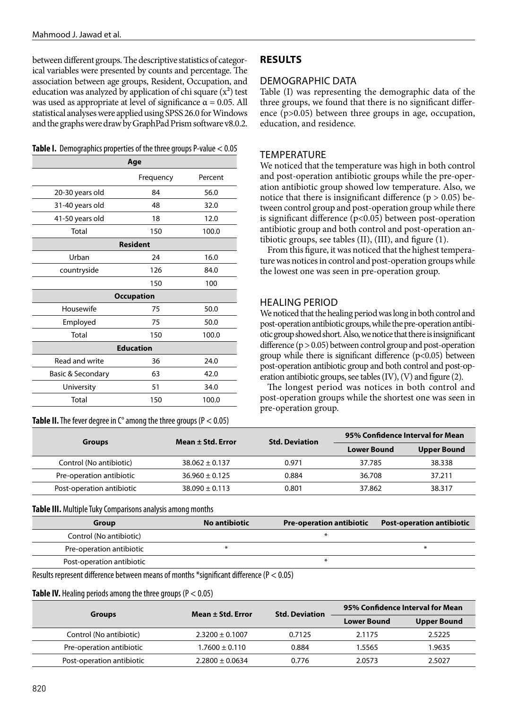between different groups. The descriptive statistics of categorical variables were presented by counts and percentage. The association between age groups, Resident, Occupation, and education was analyzed by application of chi square  $(x^2)$  test was used as appropriate at level of significance  $\alpha = 0.05$ . All statistical analyses were applied using SPSS 26.0 for Windows and the graphs were draw by GraphPad Prism software v8.0.2.

|  | <b>Table I.</b> Demographics properties of the three groups P-value < 0.05 |  |  |  |  |
|--|----------------------------------------------------------------------------|--|--|--|--|
|--|----------------------------------------------------------------------------|--|--|--|--|

| Age               |                 |         |  |  |  |
|-------------------|-----------------|---------|--|--|--|
|                   | Frequency       | Percent |  |  |  |
| 20-30 years old   | 84              | 56.0    |  |  |  |
| 31-40 years old   | 48              | 32.0    |  |  |  |
| 41-50 years old   | 18              | 12.0    |  |  |  |
| Total             | 150             | 100.0   |  |  |  |
|                   | <b>Resident</b> |         |  |  |  |
| Urban             | 24              | 16.0    |  |  |  |
| countryside       | 126             | 84.0    |  |  |  |
|                   | 150             | 100     |  |  |  |
| <b>Occupation</b> |                 |         |  |  |  |
| Housewife         | 75              | 50.0    |  |  |  |
| Employed          | 75              | 50.0    |  |  |  |
| Total             | 150             | 100.0   |  |  |  |
| <b>Education</b>  |                 |         |  |  |  |
| Read and write    | 36              | 24.0    |  |  |  |
| Basic & Secondary | 63              | 42.0    |  |  |  |
| University        | 51              | 34.0    |  |  |  |
| Total             | 150             | 100.0   |  |  |  |

**Table II.** The fever degree in  $C^{\circ}$  among the three groups ( $P < 0.05$ )

## **RESULTS**

### DEMOGRAPHIC DATA

Table (I) was representing the demographic data of the three groups, we found that there is no significant difference (p>0.05) between three groups in age, occupation, education, and residence.

### **TEMPERATURE**

We noticed that the temperature was high in both control and post-operation antibiotic groups while the pre-operation antibiotic group showed low temperature. Also, we notice that there is insignificant difference ( $p > 0.05$ ) between control group and post-operation group while there is significant difference  $(p<0.05)$  between post-operation antibiotic group and both control and post-operation antibiotic groups, see tables (II), (III), and figure (1).

From this figure, it was noticed that the highest temperature was notices in control and post-operation groups while the lowest one was seen in pre-operation group.

### HEALING PERIOD

We noticed that the healing period was long in both control and post-operation antibiotic groups, while the pre-operation antibiotic group showed short. Also, we notice that there is insignificant difference  $(p > 0.05)$  between control group and post-operation group while there is significant difference (p<0.05) between post-operation antibiotic group and both control and post-operation antibiotic groups, see tables (IV), (V) and figure (2).

The longest period was notices in both control and post-operation groups while the shortest one was seen in pre-operation group.

| <b>Groups</b>             | Mean ± Std. Error  | <b>Std. Deviation</b> | 95% Confidence Interval for Mean |                    |
|---------------------------|--------------------|-----------------------|----------------------------------|--------------------|
|                           |                    |                       | <b>Lower Bound</b>               | <b>Upper Bound</b> |
| Control (No antibiotic)   | $38.062 \pm 0.137$ | 0.971                 | 37.785                           | 38.338             |
| Pre-operation antibiotic  | $36.960 \pm 0.125$ | 0.884                 | 36.708                           | 37.211             |
| Post-operation antibiotic | $38.090 \pm 0.113$ | 0.801                 | 37.862                           | 38.317             |

**Table III.** Multiple Tuky Comparisons analysis among months

| Group                     | No antibiotic | <b>Pre-operation antibiotic</b> | <b>Post-operation antibiotic</b> |
|---------------------------|---------------|---------------------------------|----------------------------------|
| Control (No antibiotic)   |               |                                 |                                  |
| Pre-operation antibiotic  |               |                                 |                                  |
| Post-operation antibiotic |               |                                 |                                  |

Results represent difference between means of months \*significant difference (P < 0.05)

#### **Table IV.** Healing periods among the three groups (P < 0.05)

| <b>Groups</b>             | Mean ± Std. Error   | <b>Std. Deviation</b> | 95% Confidence Interval for Mean |                    |
|---------------------------|---------------------|-----------------------|----------------------------------|--------------------|
|                           |                     |                       | <b>Lower Bound</b>               | <b>Upper Bound</b> |
| Control (No antibiotic)   | $2.3200 \pm 0.1007$ | 0.7125                | 2.1175                           | 2.5225             |
| Pre-operation antibiotic  | $1.7600 \pm 0.110$  | 0.884                 | 1.5565                           | 1.9635             |
| Post-operation antibiotic | $2.2800 \pm 0.0634$ | 0.776                 | 2.0573                           | 2.5027             |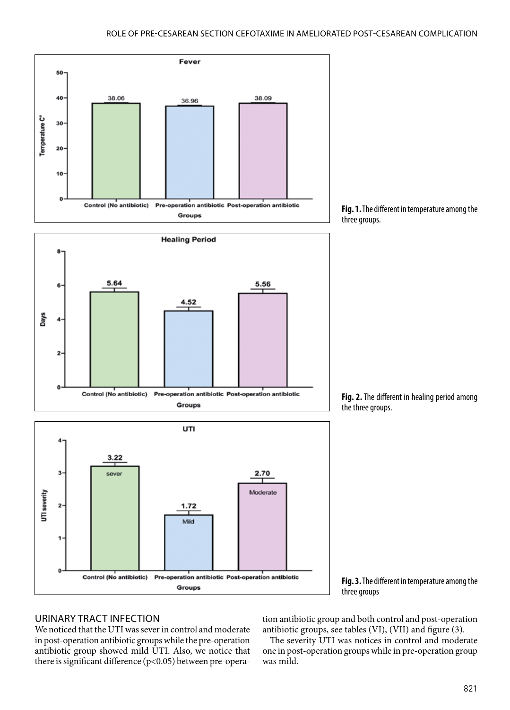





**Fig. 2.** The different in healing period among the three groups.



**Fig. 3.** The different in temperature among the three groups

#### URINARY TRACT INFECTION

We noticed that the UTI was sever in control and moderate in post-operation antibiotic groups while the pre-operation antibiotic group showed mild UTI. Also, we notice that there is significant difference (p<0.05) between pre-operation antibiotic group and both control and post-operation antibiotic groups, see tables (VI), (VII) and figure (3).

The severity UTI was notices in control and moderate one in post-operation groups while in pre-operation group was mild.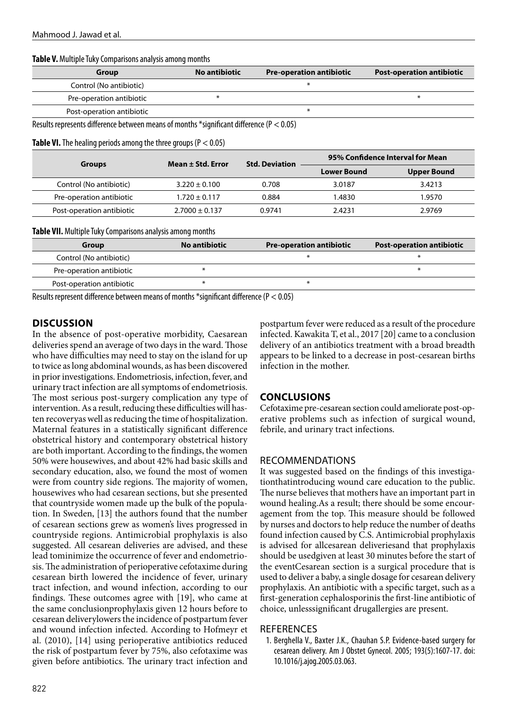**Table V.** Multiple Tuky Comparisons analysis among months

| Group                     | No antibiotic | <b>Pre-operation antibiotic</b> | <b>Post-operation antibiotic</b> |
|---------------------------|---------------|---------------------------------|----------------------------------|
| Control (No antibiotic)   |               |                                 |                                  |
| Pre-operation antibiotic  |               |                                 |                                  |
| Post-operation antibiotic |               |                                 |                                  |

Results represents difference between means of months \*significant difference (P < 0.05)

**Table VI.** The healing periods among the three groups (P < 0.05)

| <b>Groups</b>             | Mean ± Std. Error  | <b>Std. Deviation</b> | 95% Confidence Interval for Mean         |        |  |
|---------------------------|--------------------|-----------------------|------------------------------------------|--------|--|
|                           |                    |                       | <b>Lower Bound</b><br><b>Upper Bound</b> |        |  |
| Control (No antibiotic)   | $3.220 \pm 0.100$  | 0.708                 | 3.0187                                   | 3.4213 |  |
| Pre-operation antibiotic  | $1.720 \pm 0.117$  | 0.884                 | 1.4830                                   | 1.9570 |  |
| Post-operation antibiotic | $2.7000 \pm 0.137$ | 0.9741                | 2.4231                                   | 2.9769 |  |

**Table VII.** Multiple Tuky Comparisons analysis among months

| Group                                                                                                                                                                                                                                                                                            | No antibiotic | <b>Pre-operation antibiotic</b> | <b>Post-operation antibiotic</b> |  |  |
|--------------------------------------------------------------------------------------------------------------------------------------------------------------------------------------------------------------------------------------------------------------------------------------------------|---------------|---------------------------------|----------------------------------|--|--|
| Control (No antibiotic)                                                                                                                                                                                                                                                                          |               |                                 |                                  |  |  |
| Pre-operation antibiotic                                                                                                                                                                                                                                                                         |               |                                 |                                  |  |  |
| Post-operation antibiotic                                                                                                                                                                                                                                                                        |               |                                 |                                  |  |  |
| $\mathsf{D}$ and $\mathsf{L}$ and $\mathsf{L}$ and $\mathsf{L}$ and $\mathsf{L}$ and $\mathsf{L}$ and $\mathsf{L}$ and $\mathsf{L}$ and $\mathsf{L}$ and $\mathsf{L}$ and $\mathsf{L}$ and $\mathsf{L}$ and $\mathsf{L}$ and $\mathsf{L}$ and $\mathsf{L}$ and $\mathsf{L}$ and $\mathsf{L}$ and |               |                                 |                                  |  |  |

Results represent difference between means of months \*significant difference (P < 0.05)

### **DISCUSSION**

In the absence of post-operative morbidity, Caesarean deliveries spend an average of two days in the ward. Those who have difficulties may need to stay on the island for up to twice as long abdominal wounds, as has been discovered in prior investigations. Endometriosis, infection, fever, and urinary tract infection are all symptoms of endometriosis. The most serious post-surgery complication any type of intervention. As a result, reducing these difficulties will hasten recoveryas well as reducing the time of hospitalization. Maternal features in a statistically significant difference obstetrical history and contemporary obstetrical history are both important. According to the findings, the women 50% were housewives, and about 42% had basic skills and secondary education, also, we found the most of women were from country side regions. The majority of women, housewives who had cesarean sections, but she presented that countryside women made up the bulk of the population. In Sweden, [13] the authors found that the number of cesarean sections grew as women's lives progressed in countryside regions. Antimicrobial prophylaxis is also suggested. All cesarean deliveries are advised, and these lead tominimize the occurrence of fever and endometriosis. The administration of perioperative cefotaxime during cesarean birth lowered the incidence of fever, urinary tract infection, and wound infection, according to our findings. These outcomes agree with [19], who came at the same conclusionprophylaxis given 12 hours before to cesarean deliverylowers the incidence of postpartum fever and wound infection infected. According to Hofmeyr et al. (2010), [14] using perioperative antibiotics reduced the risk of postpartum fever by 75%, also cefotaxime was given before antibiotics. The urinary tract infection and postpartum fever were reduced as a result of the procedure infected. Kawakita T, et al., 2017 [20] came to a conclusion delivery of an antibiotics treatment with a broad breadth appears to be linked to a decrease in post-cesarean births infection in the mother.

## **CONCLUSIONS**

Cefotaxime pre-cesarean section could ameliorate post-operative problems such as infection of surgical wound, febrile, and urinary tract infections.

#### RECOMMENDATIONS

It was suggested based on the findings of this investigationthatintroducing wound care education to the public. The nurse believes that mothers have an important part in wound healing.As a result; there should be some encouragement from the top. This measure should be followed by nurses and doctors to help reduce the number of deaths found infection caused by C.S. Antimicrobial prophylaxis is advised for allcesarean deliveriesand that prophylaxis should be usedgiven at least 30 minutes before the start of the eventCesarean section is a surgical procedure that is used to deliver a baby, a single dosage for cesarean delivery prophylaxis. An antibiotic with a specific target, such as a first-generation cephalosporinis the first-line antibiotic of choice, unlesssignificant drugallergies are present.

#### **REFERENCES**

1. Berghella V., Baxter J.K., Chauhan S.P. Evidence-based surgery for cesarean delivery. Am J Obstet Gynecol. 2005; 193(5):1607-17. doi: 10.1016/j.ajog.2005.03.063.